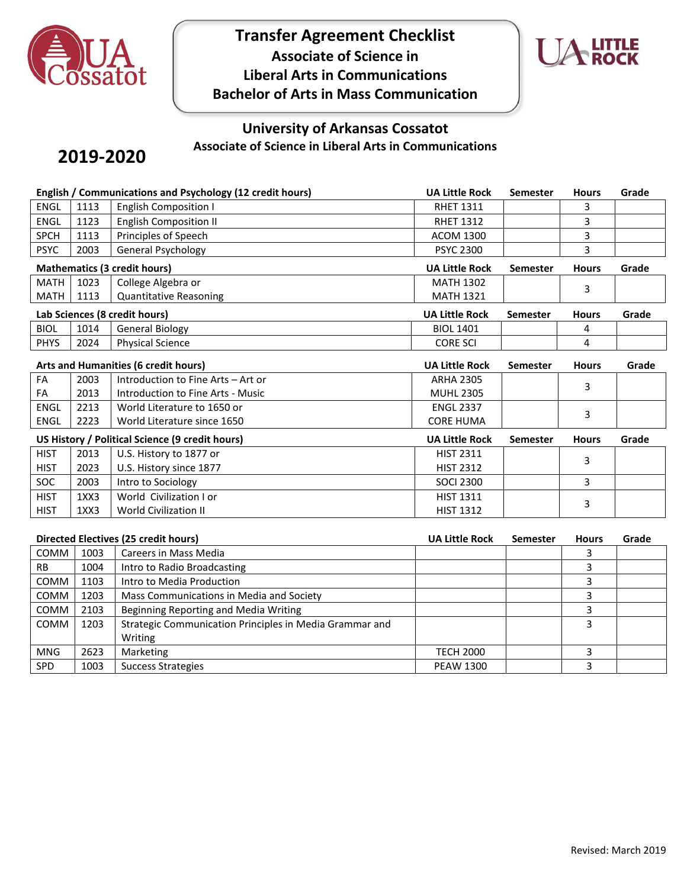

**Transfer Agreement Checklist Associate of Science in Liberal Arts in Communications Bachelor of Arts in Mass Communication**



## **University of Arkansas Cossatot Associate of Science in Liberal Arts in Communications**

# **2019-2020**

|                                     | English / Communications and Psychology (12 credit hours) |                                                         |                                      | <b>Semester</b> | <b>Hours</b> | Grade |
|-------------------------------------|-----------------------------------------------------------|---------------------------------------------------------|--------------------------------------|-----------------|--------------|-------|
| <b>ENGL</b>                         | 1113                                                      | <b>English Composition I</b>                            | <b>RHET 1311</b>                     |                 | 3            |       |
| <b>ENGL</b>                         | 1123                                                      | <b>English Composition II</b>                           | <b>RHET 1312</b>                     |                 | 3            |       |
| <b>SPCH</b>                         | 1113                                                      | Principles of Speech                                    | <b>ACOM 1300</b>                     |                 | 3            |       |
| <b>PSYC</b>                         | 2003                                                      | General Psychology                                      | <b>PSYC 2300</b>                     |                 | 3            |       |
| <b>Mathematics (3 credit hours)</b> |                                                           |                                                         | <b>UA Little Rock</b>                | <b>Semester</b> | <b>Hours</b> | Grade |
| <b>MATH</b>                         | 1023                                                      | College Algebra or                                      | <b>MATH 1302</b>                     |                 | 3            |       |
| <b>MATH</b>                         | 1113                                                      | <b>Quantitative Reasoning</b>                           | <b>MATH 1321</b>                     |                 |              |       |
|                                     |                                                           | Lab Sciences (8 credit hours)                           | <b>UA Little Rock</b>                | Semester        | <b>Hours</b> | Grade |
| <b>BIOL</b>                         | 1014                                                      | <b>General Biology</b>                                  | <b>BIOL 1401</b>                     |                 | 4            |       |
| <b>PHYS</b>                         | 2024                                                      | <b>Physical Science</b>                                 | <b>CORE SCI</b>                      |                 | 4            |       |
|                                     |                                                           | Arts and Humanities (6 credit hours)                    | <b>UA Little Rock</b>                | <b>Semester</b> | <b>Hours</b> | Grade |
| FA                                  | 2003                                                      | Introduction to Fine Arts - Art or                      | <b>ARHA 2305</b>                     |                 |              |       |
| FA                                  | 2013                                                      | Introduction to Fine Arts - Music                       | <b>MUHL 2305</b>                     |                 | 3            |       |
| <b>ENGL</b>                         | 2213                                                      | World Literature to 1650 or                             | <b>ENGL 2337</b>                     |                 |              |       |
| ENGL                                | 2223                                                      | World Literature since 1650                             | <b>CORE HUMA</b>                     |                 | 3            |       |
|                                     |                                                           | US History / Political Science (9 credit hours)         | <b>UA Little Rock</b>                | <b>Semester</b> | <b>Hours</b> | Grade |
| <b>HIST</b>                         | 2013                                                      | U.S. History to 1877 or                                 | <b>HIST 2311</b>                     |                 |              |       |
| <b>HIST</b>                         | 2023                                                      | U.S. History since 1877                                 | <b>HIST 2312</b>                     |                 | 3            |       |
| <b>SOC</b>                          | 2003                                                      | Intro to Sociology                                      | <b>SOCI 2300</b>                     |                 | 3            |       |
| <b>HIST</b>                         | 1XX3                                                      | World Civilization I or                                 | HIST 1311                            |                 | 3            |       |
| <b>HIST</b>                         | 1XX3                                                      | <b>World Civilization II</b>                            | <b>HIST 1312</b>                     |                 |              |       |
|                                     |                                                           |                                                         |                                      |                 |              |       |
|                                     |                                                           | <b>Directed Electives (25 credit hours)</b>             | <b>UA Little Rock</b>                | <b>Semester</b> | <b>Hours</b> | Grade |
| COMM                                | 1003                                                      | Careers in Mass Media                                   |                                      |                 | 3            |       |
| <b>RB</b>                           | 1004                                                      | Intro to Radio Broadcasting                             |                                      |                 | 3            |       |
| COMM                                | 1103                                                      | Intro to Media Production                               |                                      |                 | 3            |       |
| COMM                                | 1203                                                      | Mass Communications in Media and Society                |                                      |                 | 3            |       |
| COMM                                | 2103                                                      | Beginning Reporting and Media Writing                   |                                      |                 | 3            |       |
| COMM                                | 1203                                                      | Strategic Communication Principles in Media Grammar and |                                      |                 | 3            |       |
|                                     |                                                           |                                                         |                                      |                 |              |       |
|                                     |                                                           | Writing                                                 |                                      |                 |              |       |
| <b>MNG</b><br>SPD                   | 2623<br>1003                                              | Marketing<br><b>Success Strategies</b>                  | <b>TECH 2000</b><br><b>PEAW 1300</b> |                 | 3<br>3       |       |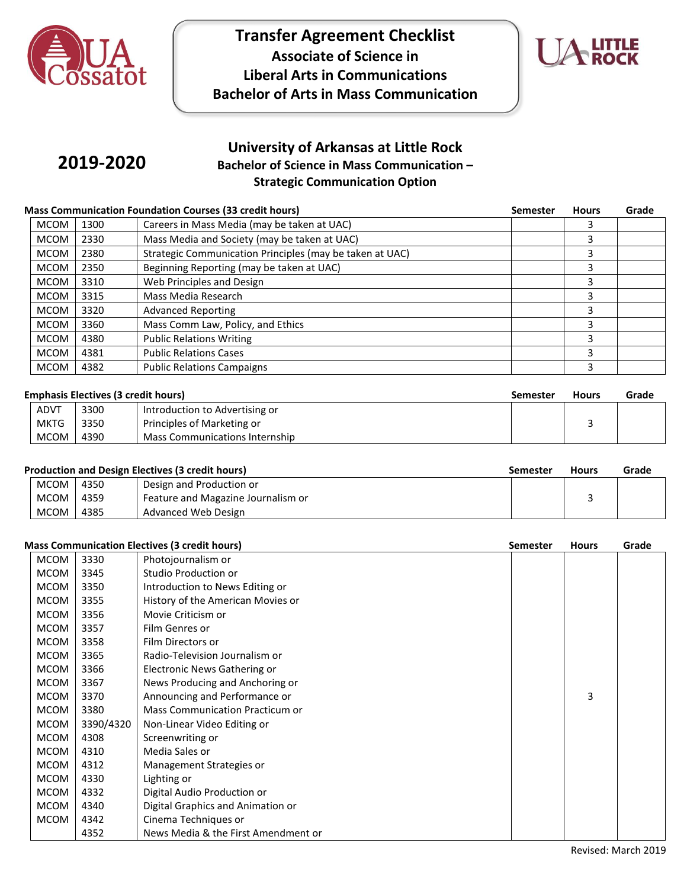

## **Transfer Agreement Checklist Associate of Science in Liberal Arts in Communications Bachelor of Arts in Mass Communication**



# **2019-2020**

## **University of Arkansas at Little Rock Bachelor of Science in Mass Communication – Strategic Communication Option**

#### **Mass Communication Foundation Courses (33 credit hours) Semester Hours Grade**

| <b>MCOM</b> | 1300 | Careers in Mass Media (may be taken at UAC)              |   |  |
|-------------|------|----------------------------------------------------------|---|--|
| <b>MCOM</b> | 2330 | Mass Media and Society (may be taken at UAC)             |   |  |
| <b>MCOM</b> | 2380 | Strategic Communication Principles (may be taken at UAC) |   |  |
| <b>MCOM</b> | 2350 | Beginning Reporting (may be taken at UAC)                | З |  |
| <b>MCOM</b> | 3310 | Web Principles and Design                                |   |  |
| <b>MCOM</b> | 3315 | Mass Media Research                                      |   |  |
| <b>MCOM</b> | 3320 | <b>Advanced Reporting</b>                                | э |  |
| <b>MCOM</b> | 3360 | Mass Comm Law, Policy, and Ethics                        |   |  |
| <b>MCOM</b> | 4380 | <b>Public Relations Writing</b>                          |   |  |
| <b>MCOM</b> | 4381 | <b>Public Relations Cases</b>                            | ╕ |  |
| <b>MCOM</b> | 4382 | <b>Public Relations Campaigns</b>                        |   |  |

|  | <b>Emphasis Electives (3 credit hours</b> |  |  |
|--|-------------------------------------------|--|--|
|  |                                           |  |  |

| Emphasis Electives (3 credit hours) |      |                                |  | <b>Hours</b> | Grade |
|-------------------------------------|------|--------------------------------|--|--------------|-------|
| ADVT                                | 3300 | Introduction to Advertising or |  |              |       |
| <b>MKTG</b>                         | 3350 | Principles of Marketing or     |  |              |       |
| <b>MCOM</b>                         | 4390 | Mass Communications Internship |  |              |       |

|        | <b>Production and Design Electives (3 credit hours)</b> | Semester                           | <b>Hours</b> | Grade |  |
|--------|---------------------------------------------------------|------------------------------------|--------------|-------|--|
| MCOM L | 4350                                                    | Design and Production or           |              |       |  |
| MCOM I | 4359                                                    | Feature and Magazine Journalism or |              |       |  |
| MCOM   | 4385                                                    | Advanced Web Design                |              |       |  |

| <b>Mass Communication Electives (3 credit hours)</b><br><b>Semester</b><br><b>Hours</b> |             |           |                                     |  |   | Grade |
|-----------------------------------------------------------------------------------------|-------------|-----------|-------------------------------------|--|---|-------|
|                                                                                         | <b>MCOM</b> | 3330      | Photojournalism or                  |  |   |       |
|                                                                                         | <b>MCOM</b> | 3345      | Studio Production or                |  |   |       |
|                                                                                         | <b>MCOM</b> | 3350      | Introduction to News Editing or     |  |   |       |
|                                                                                         | <b>MCOM</b> | 3355      | History of the American Movies or   |  |   |       |
|                                                                                         | <b>MCOM</b> | 3356      | Movie Criticism or                  |  |   |       |
|                                                                                         | <b>MCOM</b> | 3357      | Film Genres or                      |  |   |       |
|                                                                                         | <b>MCOM</b> | 3358      | Film Directors or                   |  |   |       |
|                                                                                         | <b>MCOM</b> | 3365      | Radio-Television Journalism or      |  |   |       |
|                                                                                         | <b>MCOM</b> | 3366      | Electronic News Gathering or        |  |   |       |
|                                                                                         | <b>MCOM</b> | 3367      | News Producing and Anchoring or     |  |   |       |
|                                                                                         | <b>MCOM</b> | 3370      | Announcing and Performance or       |  | 3 |       |
|                                                                                         | <b>MCOM</b> | 3380      | Mass Communication Practicum or     |  |   |       |
|                                                                                         | <b>MCOM</b> | 3390/4320 | Non-Linear Video Editing or         |  |   |       |
|                                                                                         | <b>MCOM</b> | 4308      | Screenwriting or                    |  |   |       |
|                                                                                         | <b>MCOM</b> | 4310      | Media Sales or                      |  |   |       |
|                                                                                         | <b>MCOM</b> | 4312      | Management Strategies or            |  |   |       |
|                                                                                         | <b>MCOM</b> | 4330      | Lighting or                         |  |   |       |
|                                                                                         | <b>MCOM</b> | 4332      | Digital Audio Production or         |  |   |       |
|                                                                                         | <b>MCOM</b> | 4340      | Digital Graphics and Animation or   |  |   |       |
|                                                                                         | <b>MCOM</b> | 4342      | Cinema Techniques or                |  |   |       |
|                                                                                         |             | 4352      | News Media & the First Amendment or |  |   |       |